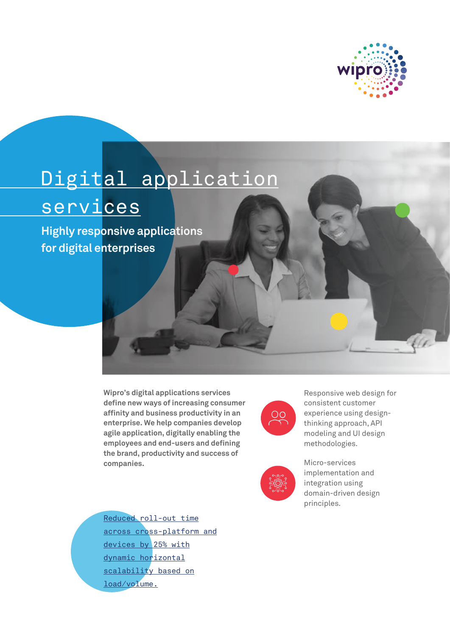

# Digital application

# services

**Highly responsive applications for digital enterprises** 

> **Wipro's digital applications services define new ways of increasing consumer affinity and business productivity in an enterprise. We help companies develop agile application, digitally enabling the employees and end-users and defining the brand, productivity and success of companies.**



Responsive web design for consistent customer experience using designthinking approach, API modeling and UI design methodologies.



Micro-services implementation and integration using domain-driven design principles.

Reduced roll-out time across cross-platform and devices by 25% with dynamic horizontal scalability based on load/volume.